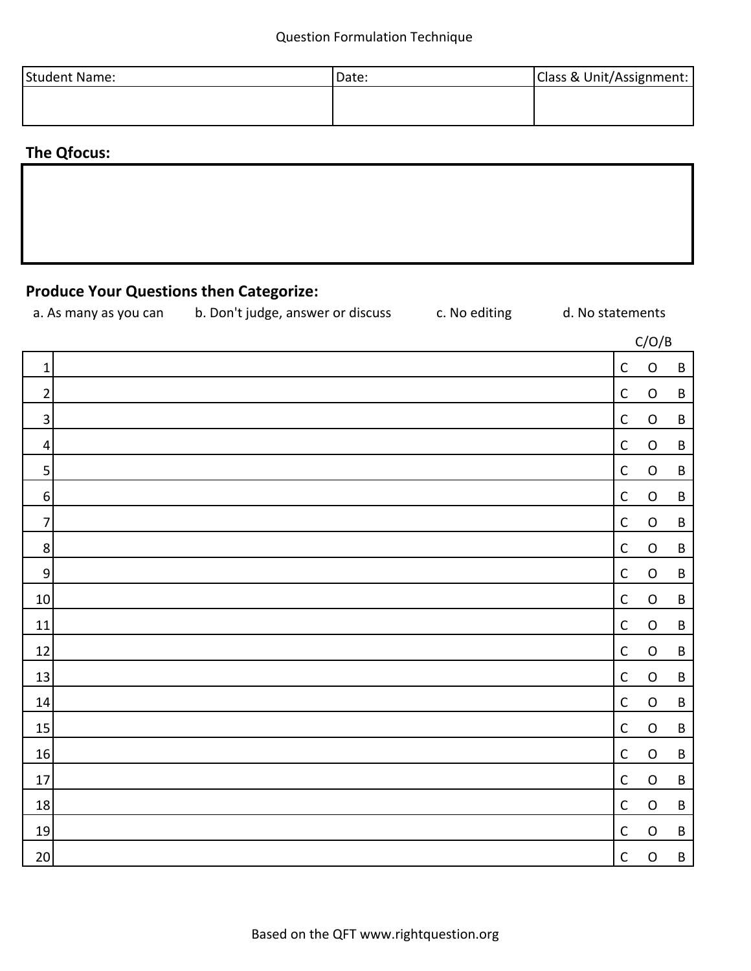| Student Name: | Date: | Class & Unit/Assignment: |  |  |  |  |
|---------------|-------|--------------------------|--|--|--|--|
|               |       |                          |  |  |  |  |
|               |       |                          |  |  |  |  |

# **The Qfocus:**

# **Produce Your Questions then Categorize:**

| a. As many as you can | b. Don't judge, answer or discuss | c. No editing | d. No statements |
|-----------------------|-----------------------------------|---------------|------------------|
|-----------------------|-----------------------------------|---------------|------------------|

|                  |             | C/O/B       |         |
|------------------|-------------|-------------|---------|
| $\mathbf 1$      | $\mathsf C$ | $\mathsf O$ | $\sf B$ |
| $\overline{2}$   | $\mathsf C$ | $\mathsf O$ | $\sf B$ |
| $\mathsf 3$      | $\mathsf C$ | $\mathsf O$ | $\sf B$ |
| $\overline{4}$   | $\mathsf C$ | $\mathsf O$ | $\sf B$ |
| 5                | $\mathsf C$ | $\mathsf O$ | $\sf B$ |
| $\boldsymbol{6}$ | $\mathsf C$ | $\mathsf O$ | $\sf B$ |
| $\overline{7}$   | $\mathsf C$ | $\mathsf O$ | $\sf B$ |
| $\,8\,$          | $\mathsf C$ | $\mathsf O$ | $\sf B$ |
| $\boldsymbol{9}$ | $\mathsf C$ | $\mathsf O$ | $\sf B$ |
| $10\,$           | $\mathsf C$ | $\mathsf O$ | $\sf B$ |
| 11               | $\mathsf C$ | $\mathsf O$ | $\sf B$ |
| 12               | $\mathsf C$ | $\mathsf O$ | $\sf B$ |
| 13               | $\mathsf C$ | $\mathsf O$ | $\sf B$ |
| $14\,$           | $\mathsf C$ | $\mathsf O$ | $\sf B$ |
| $15\,$           | $\mathsf C$ | $\mathsf O$ | $\sf B$ |
| $16\,$           | $\mathsf C$ | $\mathsf O$ | $\sf B$ |
| $17\,$           | $\mathsf C$ | $\mathsf O$ | $\sf B$ |
| $18\,$           | $\mathsf C$ | $\mathsf O$ | $\sf B$ |
| $19\,$           | $\mathsf C$ | $\mathsf O$ | $\sf B$ |
| 20 <sub>2</sub>  | $\mathsf C$ | $\mathsf O$ | $\sf B$ |